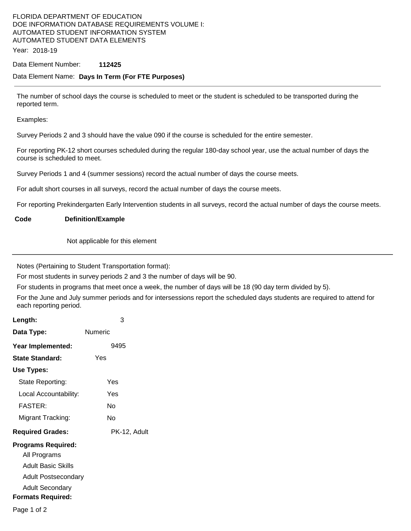# FLORIDA DEPARTMENT OF EDUCATION DOE INFORMATION DATABASE REQUIREMENTS VOLUME I: AUTOMATED STUDENT INFORMATION SYSTEM AUTOMATED STUDENT DATA ELEMENTS

Year: 2018-19

#### Data Element Number: **112425**

### Data Element Name: **Days In Term (For FTE Purposes)**

The number of school days the course is scheduled to meet or the student is scheduled to be transported during the reported term.

Examples:

Survey Periods 2 and 3 should have the value 090 if the course is scheduled for the entire semester.

For reporting PK-12 short courses scheduled during the regular 180-day school year, use the actual number of days the course is scheduled to meet.

Survey Periods 1 and 4 (summer sessions) record the actual number of days the course meets.

For adult short courses in all surveys, record the actual number of days the course meets.

For reporting Prekindergarten Early Intervention students in all surveys, record the actual number of days the course meets.

### **Code Definition/Example**

Not applicable for this element

Notes (Pertaining to Student Transportation format):

For most students in survey periods 2 and 3 the number of days will be 90.

For students in programs that meet once a week, the number of days will be 18 (90 day term divided by 5).

For the June and July summer periods and for intersessions report the scheduled days students are required to attend for each reporting period.

| Length:                   | 3            |
|---------------------------|--------------|
| Data Type:                | Numeric      |
| Year Implemented:         | 9495         |
| <b>State Standard:</b>    | Yes          |
| Use Types:                |              |
| State Reporting:          | Yes          |
| Local Accountability:     | Yes          |
| <b>FASTER:</b>            | N٥           |
| Migrant Tracking:         | No           |
| <b>Required Grades:</b>   | PK-12, Adult |
| <b>Programs Required:</b> |              |
| All Programs              |              |
| <b>Adult Basic Skills</b> |              |
| Adult Postsecondary       |              |
| <b>Adult Secondary</b>    |              |
| <b>Formats Required:</b>  |              |